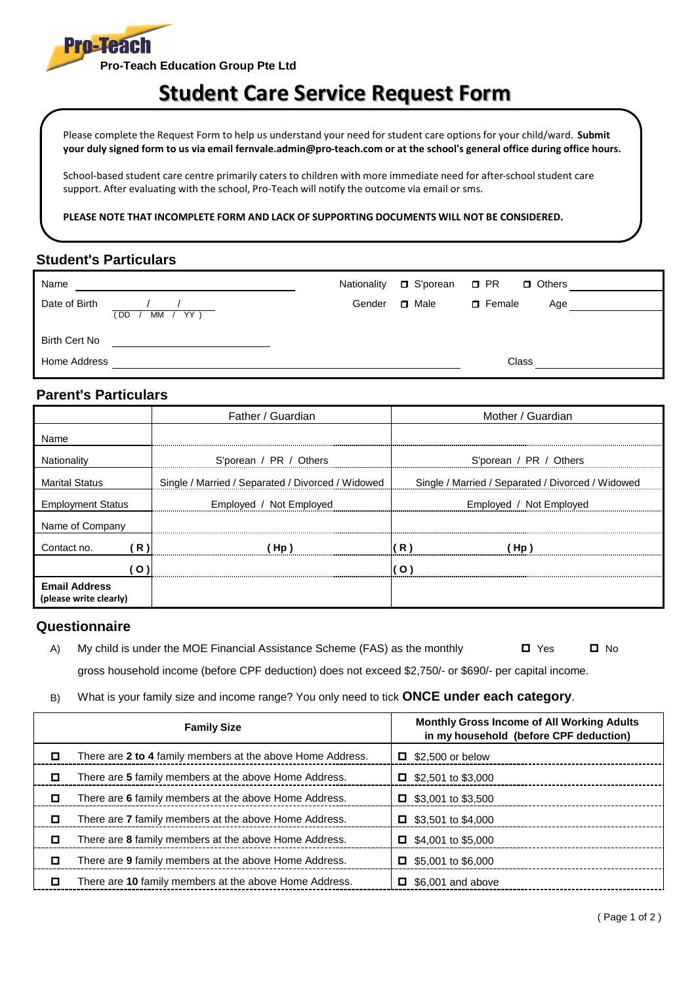

## **Student Care Service Request Form**

Please complete the Request Form to help us understand your need for student care options for your child/ward. **Submit your duly signed form to us via email fernvale.admin@pro-teach.com or at the school's general office during office hours.** 

School-based student care centre primarily caters to children with more immediate need for after-school student care support. After evaluating with the school, Pro-Teach will notify the outcome via email or sms.

**PLEASE NOTE THAT INCOMPLETE FORM AND LACK OF SUPPORTING DOCUMENTS WILL NOT BE CONSIDERED.**

## **Student's Particulars**

|        |        | □ Others                              |
|--------|--------|---------------------------------------|
| Gender | □ Male | $\Box$ Female<br>Age                  |
|        |        |                                       |
|        |        |                                       |
|        |        | Class                                 |
|        |        | Nationality $\Box$ S'porean $\Box$ PR |

## **Parent's Particulars**

|                                                |       | Father / Guardian                                 | Mother / Guardian                                 |  |
|------------------------------------------------|-------|---------------------------------------------------|---------------------------------------------------|--|
| Name                                           |       |                                                   |                                                   |  |
| Nationality                                    |       | S'porean / PR / Others                            | S'porean / PR / Others                            |  |
| <b>Marital Status</b>                          |       | Single / Married / Separated / Divorced / Widowed | Single / Married / Separated / Divorced / Widowed |  |
| <b>Employment Status</b>                       |       | Employed / Not Employed                           | Employed / Not Employed                           |  |
| Name of Company                                |       |                                                   |                                                   |  |
| Contact no.                                    | ' R ) | (Hp)                                              | (R)<br>(Hp)                                       |  |
|                                                | ( O   |                                                   |                                                   |  |
| <b>Email Address</b><br>(please write clearly) |       |                                                   |                                                   |  |

## **Questionnaire**

- A) My child is under the MOE Financial Assistance Scheme (FAS) as the monthly  $\Box$  Yes  $\Box$  No gross household income (before CPF deduction) does not exceed \$2,750/- or \$690/- per capital income.
- B) What is your family size and income range? You only need to tick **ONCE under each category**.

| <b>Family Size</b> |                                                            |   | <b>Monthly Gross Income of All Working Adults</b><br>in my household (before CPF deduction) |  |  |
|--------------------|------------------------------------------------------------|---|---------------------------------------------------------------------------------------------|--|--|
| ◻                  | There are 2 to 4 family members at the above Home Address. |   | $\Box$ \$2,500 or below                                                                     |  |  |
| о                  | There are 5 family members at the above Home Address.      |   | $\Box$ \$2,501 to \$3,000                                                                   |  |  |
| □                  | There are 6 family members at the above Home Address.      |   | $\Box$ \$3,001 to \$3,500                                                                   |  |  |
| о                  | There are 7 family members at the above Home Address.      |   | $\Box$ \$3,501 to \$4,000                                                                   |  |  |
| ◻                  | There are 8 family members at the above Home Address.      | 0 | \$4,001 to \$5,000                                                                          |  |  |
| о                  | There are 9 family members at the above Home Address.      |   | $\Box$ \$5,001 to \$6,000                                                                   |  |  |
| □                  | There are 10 family members at the above Home Address.     | □ | \$6,001 and above                                                                           |  |  |